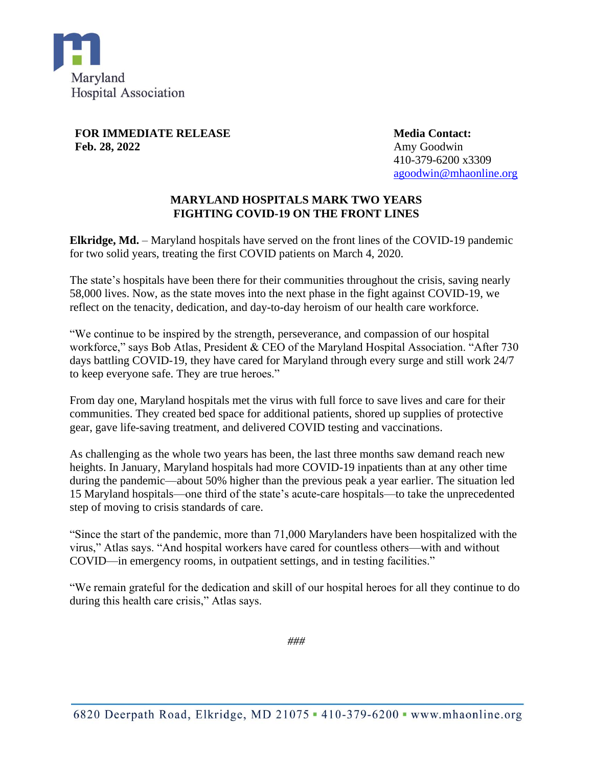

**FOR IMMEDIATE RELEASE Feb. 28, 2022**

**Media Contact:** Amy Goodwin 410-379-6200 x3309 [agoodwin@mhaonline.org](mailto:agoodwin@mhaonline.org)

## **MARYLAND HOSPITALS MARK TWO YEARS FIGHTING COVID-19 ON THE FRONT LINES**

**Elkridge, Md.** – Maryland hospitals have served on the front lines of the COVID-19 pandemic for two solid years, treating the first COVID patients on March 4, 2020.

The state's hospitals have been there for their communities throughout the crisis, saving nearly 58,000 lives. Now, as the state moves into the next phase in the fight against COVID-19, we reflect on the tenacity, dedication, and day-to-day heroism of our health care workforce.

"We continue to be inspired by the strength, perseverance, and compassion of our hospital workforce," says Bob Atlas, President & CEO of the Maryland Hospital Association. "After 730 days battling COVID-19, they have cared for Maryland through every surge and still work 24/7 to keep everyone safe. They are true heroes."

From day one, Maryland hospitals met the virus with full force to save lives and care for their communities. They created bed space for additional patients, shored up supplies of protective gear, gave life-saving treatment, and delivered COVID testing and vaccinations.

As challenging as the whole two years has been, the last three months saw demand reach new heights. In January, Maryland hospitals had more COVID-19 inpatients than at any other time during the pandemic—about 50% higher than the previous peak a year earlier. The situation led 15 Maryland hospitals—one third of the state's acute-care hospitals—to take the unprecedented step of moving to crisis standards of care.

"Since the start of the pandemic, more than 71,000 Marylanders have been hospitalized with the virus," Atlas says. "And hospital workers have cared for countless others—with and without COVID—in emergency rooms, in outpatient settings, and in testing facilities."

"We remain grateful for the dedication and skill of our hospital heroes for all they continue to do during this health care crisis," Atlas says.

*###*